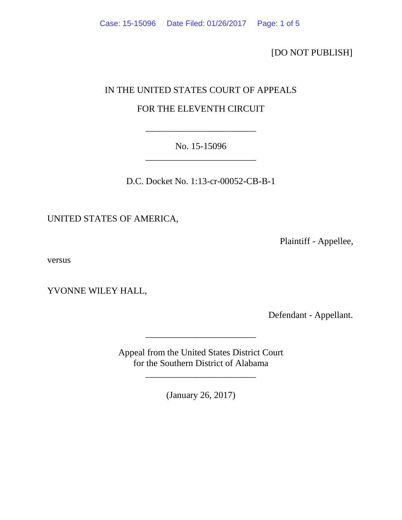[DO NOT PUBLISH]

## IN THE UNITED STATES COURT OF APPEALS

# FOR THE ELEVENTH CIRCUIT

No. 15-15096 \_\_\_\_\_\_\_\_\_\_\_\_\_\_\_\_\_\_\_\_\_\_\_\_

\_\_\_\_\_\_\_\_\_\_\_\_\_\_\_\_\_\_\_\_\_\_\_\_

D.C. Docket No. 1:13-cr-00052-CB-B-1

UNITED STATES OF AMERICA,

Plaintiff - Appellee,

versus

YVONNE WILEY HALL,

Defendant - Appellant.

Appeal from the United States District Court for the Southern District of Alabama

\_\_\_\_\_\_\_\_\_\_\_\_\_\_\_\_\_\_\_\_\_\_\_\_

\_\_\_\_\_\_\_\_\_\_\_\_\_\_\_\_\_\_\_\_\_\_\_\_

(January 26, 2017)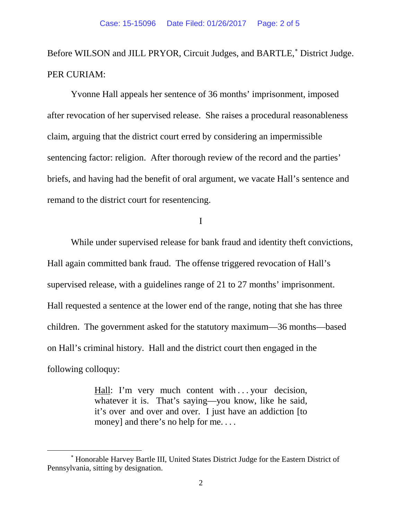Before WILSON and JILL PRYOR, Circuit Judges, and BARTLE,<sup>\*</sup> District Judge. PER CURIAM:

Yvonne Hall appeals her sentence of 36 months' imprisonment, imposed after revocation of her supervised release. She raises a procedural reasonableness claim, arguing that the district court erred by considering an impermissible sentencing factor: religion. After thorough review of the record and the parties' briefs, and having had the benefit of oral argument, we vacate Hall's sentence and remand to the district court for resentencing.

I

While under supervised release for bank fraud and identity theft convictions, Hall again committed bank fraud. The offense triggered revocation of Hall's supervised release, with a guidelines range of 21 to 27 months' imprisonment. Hall requested a sentence at the lower end of the range, noting that she has three children. The government asked for the statutory maximum—36 months—based on Hall's criminal history. Hall and the district court then engaged in the following colloquy:

> Hall: I'm very much content with ... your decision, whatever it is. That's saying—you know, like he said, it's over and over and over. I just have an addiction [to money] and there's no help for me....

 $\overline{\phantom{a}}$ 

<span id="page-1-0"></span><sup>∗</sup> Honorable Harvey Bartle III, United States District Judge for the Eastern District of Pennsylvania, sitting by designation.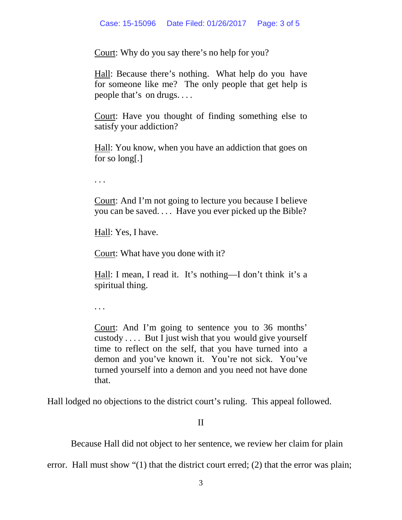Court: Why do you say there's no help for you?

Hall: Because there's nothing. What help do you have for someone like me? The only people that get help is people that's on drugs. . . .

Court: Have you thought of finding something else to satisfy your addiction?

Hall: You know, when you have an addiction that goes on for so long[.]

. . .

Court: And I'm not going to lecture you because I believe you can be saved. . . . Have you ever picked up the Bible?

Hall: Yes, I have.

Court: What have you done with it?

Hall: I mean, I read it. It's nothing—I don't think it's a spiritual thing.

. . .

Court: And I'm going to sentence you to 36 months' custody . . . . But I just wish that you would give yourself time to reflect on the self, that you have turned into a demon and you've known it. You're not sick. You've turned yourself into a demon and you need not have done that.

Hall lodged no objections to the district court's ruling. This appeal followed.

## II

Because Hall did not object to her sentence, we review her claim for plain

error. Hall must show "(1) that the district court erred; (2) that the error was plain;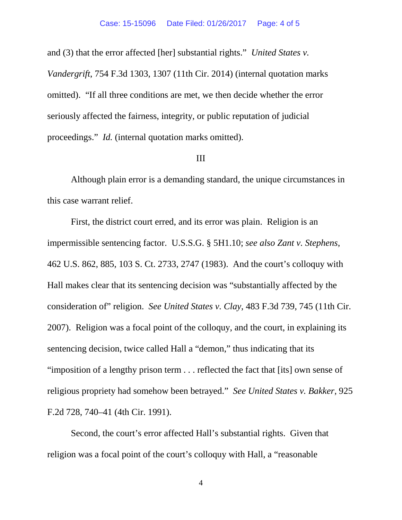and (3) that the error affected [her] substantial rights." *United States v. Vandergrift*, 754 F.3d 1303, 1307 (11th Cir. 2014) (internal quotation marks omitted). "If all three conditions are met, we then decide whether the error seriously affected the fairness, integrity, or public reputation of judicial proceedings." *Id.* (internal quotation marks omitted).

#### III

Although plain error is a demanding standard, the unique circumstances in this case warrant relief.

First, the district court erred, and its error was plain. Religion is an impermissible sentencing factor. U.S.S.G. § 5H1.10; *see also Zant v. Stephens*, 462 U.S. 862, 885, 103 S. Ct. 2733, 2747 (1983). And the court's colloquy with Hall makes clear that its sentencing decision was "substantially affected by the consideration of" religion. *See United States v. Clay*, 483 F.3d 739, 745 (11th Cir. 2007). Religion was a focal point of the colloquy, and the court, in explaining its sentencing decision, twice called Hall a "demon," thus indicating that its "imposition of a lengthy prison term . . . reflected the fact that [its] own sense of religious propriety had somehow been betrayed." *See United States v. Bakker*, 925 F.2d 728, 740–41 (4th Cir. 1991).

Second, the court's error affected Hall's substantial rights. Given that religion was a focal point of the court's colloquy with Hall, a "reasonable